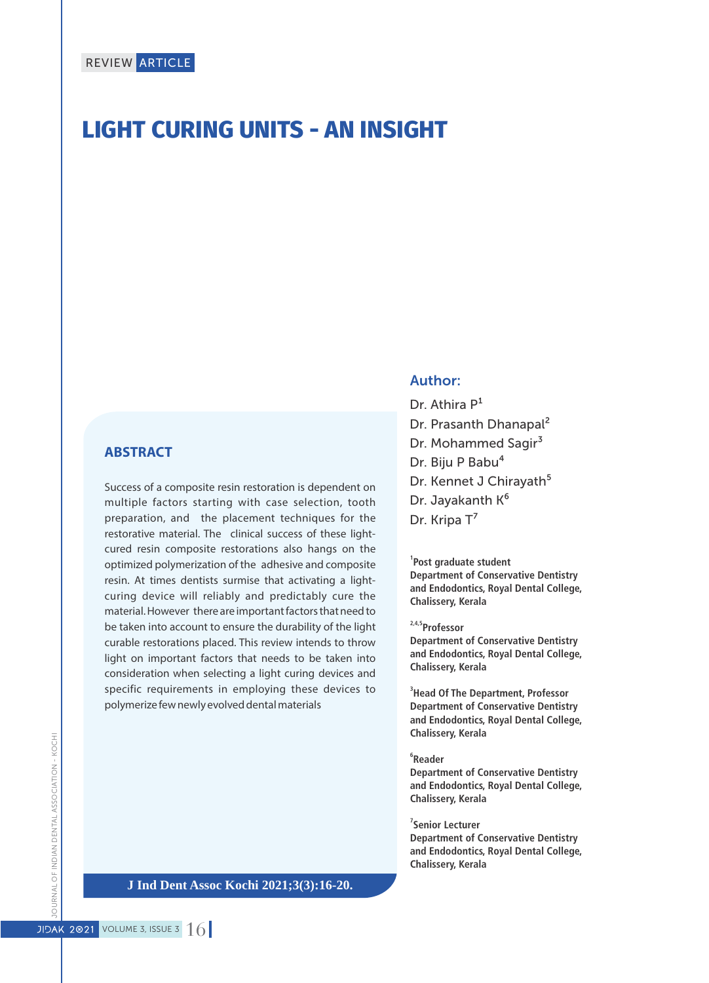# **LIGHT CURING UNITS - AN INSIGHT**

### **ABSTRACT**

Success of a composite resin restoration is dependent on multiple factors starting with case selection, tooth preparation, and the placement techniques for the restorative material. The clinical success of these lightcured resin composite restorations also hangs on the optimized polymerization of the adhesive and composite resin. At times dentists surmise that activating a lightcuring device will reliably and predictably cure the material. However there are important factors that need to be taken into account to ensure the durability of the light curable restorations placed. This review intends to throw light on important factors that needs to be taken into consideration when selecting a light curing devices and specific requirements in employing these devices to polymerize few newly evolved dental materials

### Author:

Dr. Athira  $P<sup>1</sup>$ Dr. Prasanth Dhanapal² Dr. Mohammed Sagir<sup>3</sup> Dr. Biju P Babu<sup>4</sup> Dr. Kennet J Chirayath<sup>5</sup> Dr. Jayakanth K<sup>6</sup> Dr. Kripa T<sup>7</sup>

#### **1 Post graduate student**

**Department of Conservative Dentistry and Endodontics, Royal Dental College, Chalissery, Kerala**

**2,4,5Professor**

**Department of Conservative Dentistry and Endodontics, Royal Dental College, Chalissery, Kerala**

**3 Head Of The Department, Professor Department of Conservative Dentistry and Endodontics, Royal Dental College, Chalissery, Kerala**

#### **6 Reader**

**Department of Conservative Dentistry and Endodontics, Royal Dental College, Chalissery, Kerala**

#### **7 Senior Lecturer**

**Department of Conservative Dentistry and Endodontics, Royal Dental College, Chalissery, Kerala**

**J Ind Dent Assoc Kochi 2021;3(3):16-20.**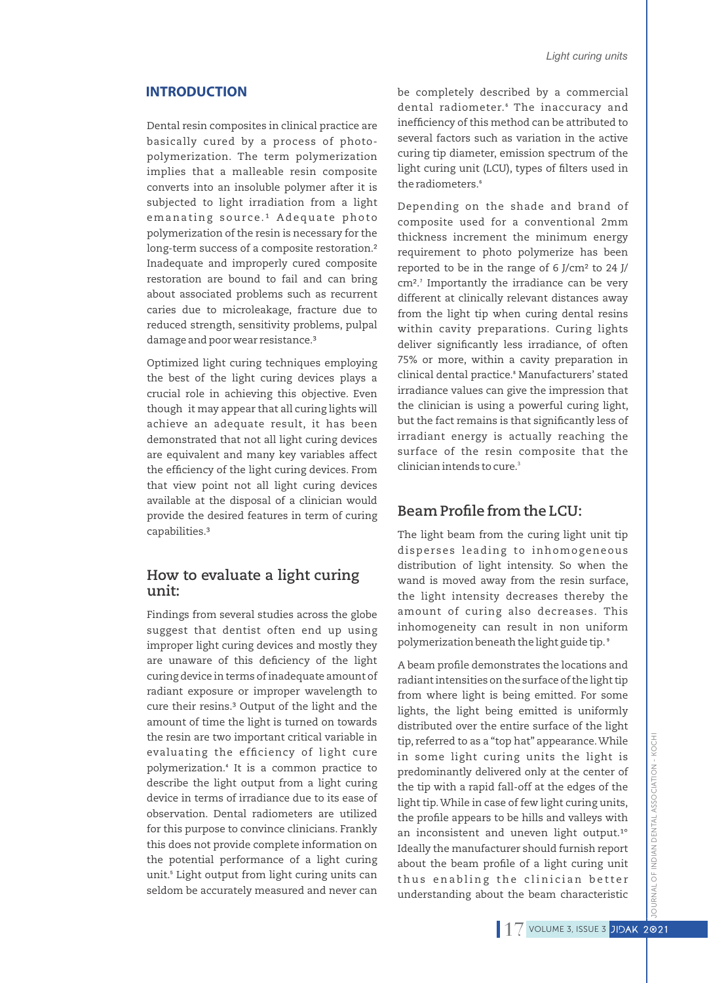#### **INTRODUCTION**

Dental resin composites in clinical practice are basically cured by a process of photopolymerization. The term polymerization implies that a malleable resin composite converts into an insoluble polymer after it is subjected to light irradiation from a light emanating source.<sup>1</sup> Adequate photo polymerization of the resin is necessary for the long-term success of a composite restoration.² Inadequate and improperly cured composite restoration are bound to fail and can bring about associated problems such as recurrent caries due to microleakage, fracture due to reduced strength, sensitivity problems, pulpal damage and poor wear resistance.<sup>3</sup>

Optimized light curing techniques employing the best of the light curing devices plays a crucial role in achieving this objective. Even though it may appear that all curing lights will achieve an adequate result, it has been demonstrated that not all light curing devices are equivalent and many key variables affect the efficiency of the light curing devices. From that view point not all light curing devices available at the disposal of a clinician would provide the desired features in term of curing capabilities.³

#### **How to evaluate a light curing unit:**

Findings from several studies across the globe suggest that dentist often end up using improper light curing devices and mostly they are unaware of this deficiency of the light curing device in terms of inadequate amount of radiant exposure or improper wavelength to cure their resins.<sup>3</sup> Output of the light and the amount of time the light is turned on towards the resin are two important critical variable in evaluating the efficiency of light cure polymerization.⁴ It is a common practice to describe the light output from a light curing device in terms of irradiance due to its ease of observation. Dental radiometers are utilized for this purpose to convince clinicians. Frankly this does not provide complete information on the potential performance of a light curing unit.<sup>5</sup> Light output from light curing units can seldom be accurately measured and never can

be completely described by a commercial dental radiometer.<sup>6</sup> The inaccuracy and inefficiency of this method can be attributed to several factors such as variation in the active curing tip diameter, emission spectrum of the light curing unit (LCU), types of filters used in the radiometers.<sup>6</sup>

Depending on the shade and brand of composite used for a conventional 2mm thickness increment the minimum energy requirement to photo polymerize has been reported to be in the range of 6 J/cm² to 24 J/ cm<sup>2</sup>.<sup>7</sup> Importantly the irradiance can be very different at clinically relevant distances away from the light tip when curing dental resins within cavity preparations. Curing lights deliver significantly less irradiance, of often 75% or more, within a cavity preparation in clinical dental practice.⁸ Manufacturers' stated irradiance values can give the impression that the clinician is using a powerful curing light, but the fact remains is that significantly less of irradiant energy is actually reaching the surface of the resin composite that the 3 clinician intends to cure.

# **Beam Profile from the LCU:**

The light beam from the curing light unit tip disperses leading to inhomogeneous distribution of light intensity. So when the wand is moved away from the resin surface, the light intensity decreases thereby the amount of curing also decreases. This inhomogeneity can result in non uniform polymerization beneath the light guide tip.<sup>®</sup>

A beam profile demonstrates the locations and radiant intensities on the surface of the light tip from where light is being emitted. For some lights, the light being emitted is uniformly distributed over the entire surface of the light tip, referred to as a "top hat" appearance.While in some light curing units the light is predominantly delivered only at the center of the tip with a rapid fall-off at the edges of the light tip.While in case of few light curing units, the profile appears to be hills and valleys with an inconsistent and uneven light output.<sup>1°</sup> Ideally the manufacturer should furnish report about the beam profile of a light curing unit thus enabling the clinician better understanding about the beam characteristic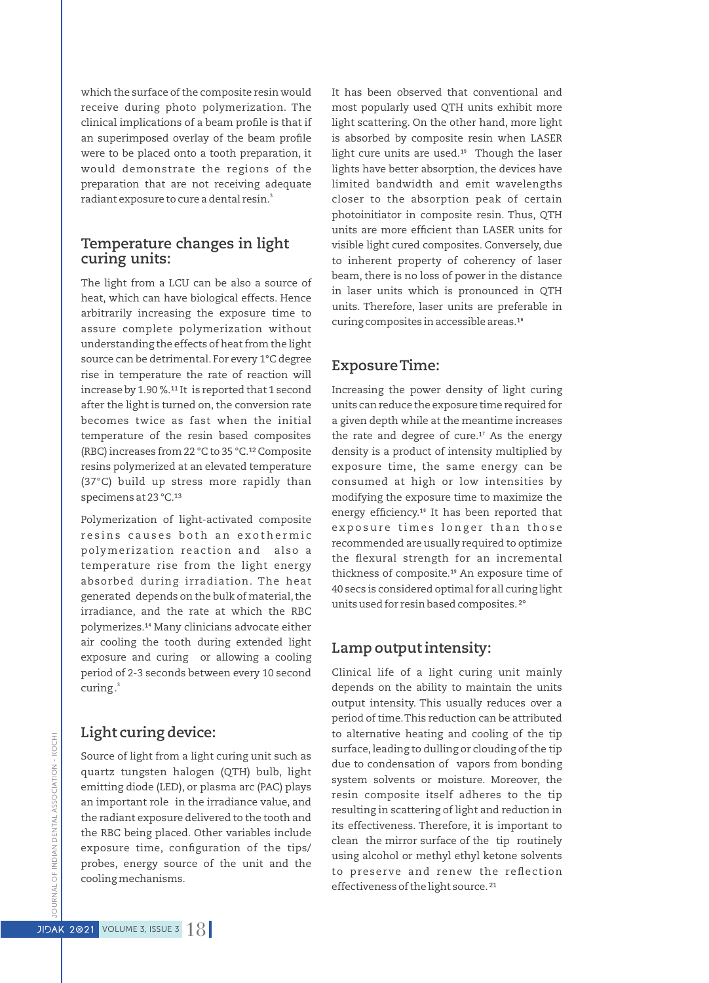which the surface of the composite resin would receive during photo polymerization. The clinical implications of a beam profile is that if an superimposed overlay of the beam profile were to be placed onto a tooth preparation, it would demonstrate the regions of the preparation that are not receiving adequate radiant exposure to cure a dental resin.<sup>3</sup>

## **Temperature changes in light curing units:**

The light from a LCU can be also a source of heat, which can have biological effects. Hence arbitrarily increasing the exposure time to assure complete polymerization without understanding the effects of heat from the light source can be detrimental. For every 1°C degree rise in temperature the rate of reaction will increase by  $1.90\%$ .<sup>11</sup> It is reported that 1 second after the light is turned on, the conversion rate becomes twice as fast when the initial temperature of the resin based composites (RBC) increases from 22 °C to 35 °C.<sup>12</sup> Composite resins polymerized at an elevated temperature (37°C) build up stress more rapidly than specimens at 23 °C.<sup>13</sup>

Polymerization of light-activated composite resins causes both an exothermic polymerization reaction and also a temperature rise from the light energy absorbed during irradiation. The heat generated depends on the bulk of material, the irradiance, and the rate at which the RBC polymerizes.<sup>14</sup> Many clinicians advocate either air cooling the tooth during extended light exposure and curing or allowing a cooling period of 2-3 seconds between every 10 second 3 curing .

# **Light curing device:**

Source of light from a light curing unit such as quartz tungsten halogen (QTH) bulb, light emitting diode (LED), or plasma arc (PAC) plays an important role in the irradiance value, and the radiant exposure delivered to the tooth and the RBC being placed. Other variables include exposure time, configuration of the tips/ probes, energy source of the unit and the cooling mechanisms.

It has been observed that conventional and most popularly used QTH units exhibit more light scattering. On the other hand, more light is absorbed by composite resin when LASER light cure units are used.<sup>15</sup> Though the laser lights have better absorption, the devices have limited bandwidth and emit wavelengths closer to the absorption peak of certain photoinitiator in composite resin. Thus, QTH units are more efficient than LASER units for visible light cured composites. Conversely, due to inherent property of coherency of laser beam, there is no loss of power in the distance in laser units which is pronounced in QTH units. Therefore, laser units are preferable in curing composites in accessible areas.<sup>16</sup>

# **Exposure Time:**

Increasing the power density of light curing units can reduce the exposure time required for a given depth while at the meantime increases the rate and degree of cure. $17$  As the energy density is a product of intensity multiplied by exposure time, the same energy can be consumed at high or low intensities by modifying the exposure time to maximize the energy efficiency.<sup>18</sup> It has been reported that exposure times longer than those recommended are usually required to optimize the flexural strength for an incremental thickness of composite.<sup>19</sup> An exposure time of 40 secs is considered optimal for all curing light units used for resin based composites.²°

# **Lamp output intensity:**

Clinical life of a light curing unit mainly depends on the ability to maintain the units output intensity. This usually reduces over a period of time.This reduction can be attributed to alternative heating and cooling of the tip surface, leading to dulling or clouding of the tip due to condensation of vapors from bonding system solvents or moisture. Moreover, the resin composite itself adheres to the tip resulting in scattering of light and reduction in its effectiveness. Therefore, it is important to clean the mirror surface of the tip routinely using alcohol or methyl ethyl ketone solvents to preserve and renew the reflection effectiveness of the light source.<sup>21</sup>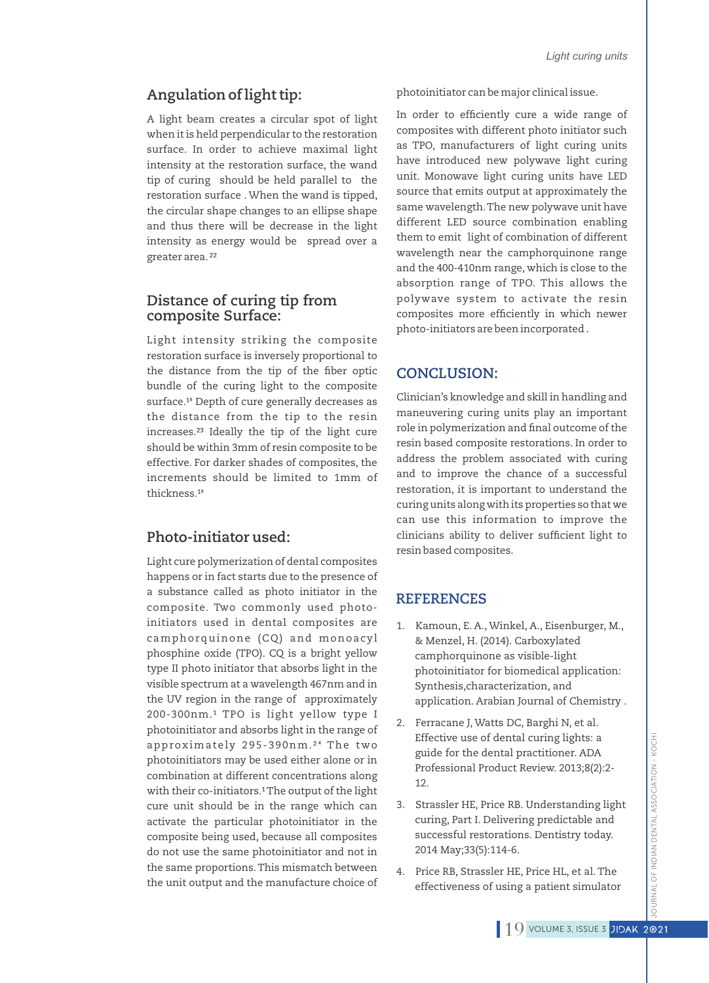# **Angulation of light tip:**

A light beam creates a circular spot of light when it is held perpendicular to the restoration surface. In order to achieve maximal light intensity at the restoration surface, the wand tip of curing should be held parallel to the restoration surface . When the wand is tipped, the circular shape changes to an ellipse shape and thus there will be decrease in the light intensity as energy would be spread over a greater area.²²

## **Distance of curing tip from composite Surface:**

Light intensity striking the composite restoration surface is inversely proportional to the distance from the tip of the fiber optic bundle of the curing light to the composite surface.<sup>16</sup> Depth of cure generally decreases as the distance from the tip to the resin increases.<sup>23</sup> Ideally the tip of the light cure should be within 3mm of resin composite to be effective. For darker shades of composites, the increments should be limited to 1mm of thickness.<sup>18</sup>

### **Photo-initiator used:**

Light cure polymerization of dental composites happens or in fact starts due to the presence of a substance called as photo initiator in the composite. Two commonly used photoinitiators used in dental composites are camphorquinone (CQ) and monoacyl phosphine oxide (TPO). CQ is a bright yellow type II photo initiator that absorbs light in the visible spectrum at a wavelength 467nm and in the UV region in the range of approximately 200-300nm.<sup>1</sup> TPO is light yellow type I photoinitiator and absorbs light in the range of approximately 295-390nm.<sup>24</sup> The two photoinitiators may be used either alone or in combination at different concentrations along with their co-initiators.<sup>1</sup> The output of the light cure unit should be in the range which can activate the particular photoinitiator in the composite being used, because all composites do not use the same photoinitiator and not in the same proportions.This mismatch between the unit output and the manufacture choice of photoinitiator can be major clinical issue.

In order to efficiently cure a wide range of composites with different photo initiator such as TPO, manufacturers of light curing units have introduced new polywave light curing unit. Monowave light curing units have LED source that emits output at approximately the same wavelength.The new polywave unit have different LED source combination enabling them to emit light of combination of different wavelength near the camphorquinone range and the 400-410nm range, which is close to the absorption range of TPO. This allows the polywave system to activate the resin composites more efficiently in which newer photo-initiators are been incorporated .

### **CONCLUSION:**

Clinician's knowledge and skill in handling and maneuvering curing units play an important role in polymerization and final outcome of the resin based composite restorations. In order to address the problem associated with curing and to improve the chance of a successful restoration, it is important to understand the curing units along with its properties so that we can use this information to improve the clinicians ability to deliver sufficient light to resin based composites.

# **REFERENCES**

- 1. Kamoun, E. A., Winkel, A., Eisenburger, M., & Menzel, H. (2014). Carboxylated camphorquinone as visible-light photoinitiator for biomedical application: Synthesis,characterization, and application. Arabian Journal of Chemistry .
- 2. Ferracane J, Watts DC, Barghi N, et al. Effective use of dental curing lights: a guide for the dental practitioner. ADA Professional Product Review. 2013;8(2):2- 12.
- 3. Strassler HE, Price RB. Understanding light curing, Part I. Delivering predictable and successful restorations. Dentistry today. 2014 May;33(5):114-6.
- 4. Price RB, Strassler HE, Price HL, et al.The effectiveness of using a patient simulator